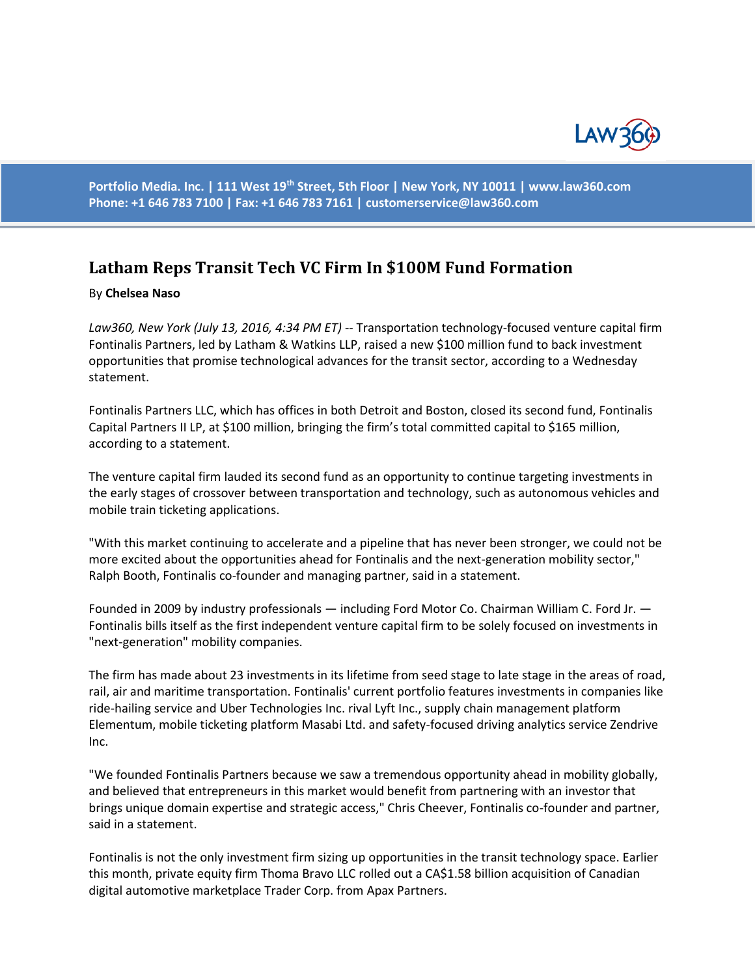

**Portfolio Media. Inc. | 111 West 19th Street, 5th Floor | New York, NY 10011 | www.law360.com Phone: +1 646 783 7100 | Fax: +1 646 783 7161 | [customerservice@law360.com](mailto:customerservice@law360.com)**

## **Latham Reps Transit Tech VC Firm In \$100M Fund Formation**

## By **Chelsea Naso**

*Law360, New York (July 13, 2016, 4:34 PM ET)* -- Transportation technology-focused venture capital firm Fontinalis Partners, led by Latham & Watkins LLP, raised a new \$100 million fund to back investment opportunities that promise technological advances for the transit sector, according to a Wednesday statement.

Fontinalis Partners LLC, which has offices in both Detroit and Boston, closed its second fund, Fontinalis Capital Partners II LP, at \$100 million, bringing the firm's total committed capital to \$165 million, according to a statement.

The venture capital firm lauded its second fund as an opportunity to continue targeting investments in the early stages of crossover between transportation and technology, such as autonomous vehicles and mobile train ticketing applications.

"With this market continuing to accelerate and a pipeline that has never been stronger, we could not be more excited about the opportunities ahead for Fontinalis and the next-generation mobility sector," Ralph Booth, Fontinalis co-founder and managing partner, said in a statement.

Founded in 2009 by industry professionals — including Ford Motor Co. Chairman William C. Ford Jr. — Fontinalis bills itself as the first independent venture capital firm to be solely focused on investments in "next-generation" mobility companies.

The firm has made about 23 investments in its lifetime from seed stage to late stage in the areas of road, rail, air and maritime transportation. Fontinalis' current portfolio features investments in companies like ride-hailing service and Uber Technologies Inc. rival Lyft Inc., supply chain management platform Elementum, mobile ticketing platform Masabi Ltd. and safety-focused driving analytics service Zendrive Inc.

"We founded Fontinalis Partners because we saw a tremendous opportunity ahead in mobility globally, and believed that entrepreneurs in this market would benefit from partnering with an investor that brings unique domain expertise and strategic access," Chris Cheever, Fontinalis co-founder and partner, said in a statement.

Fontinalis is not the only investment firm sizing up opportunities in the transit technology space. Earlier this month, private equity firm Thoma Bravo LLC rolled out a CA\$1.58 billion acquisition of Canadian digital automotive marketplace Trader Corp. from Apax Partners.